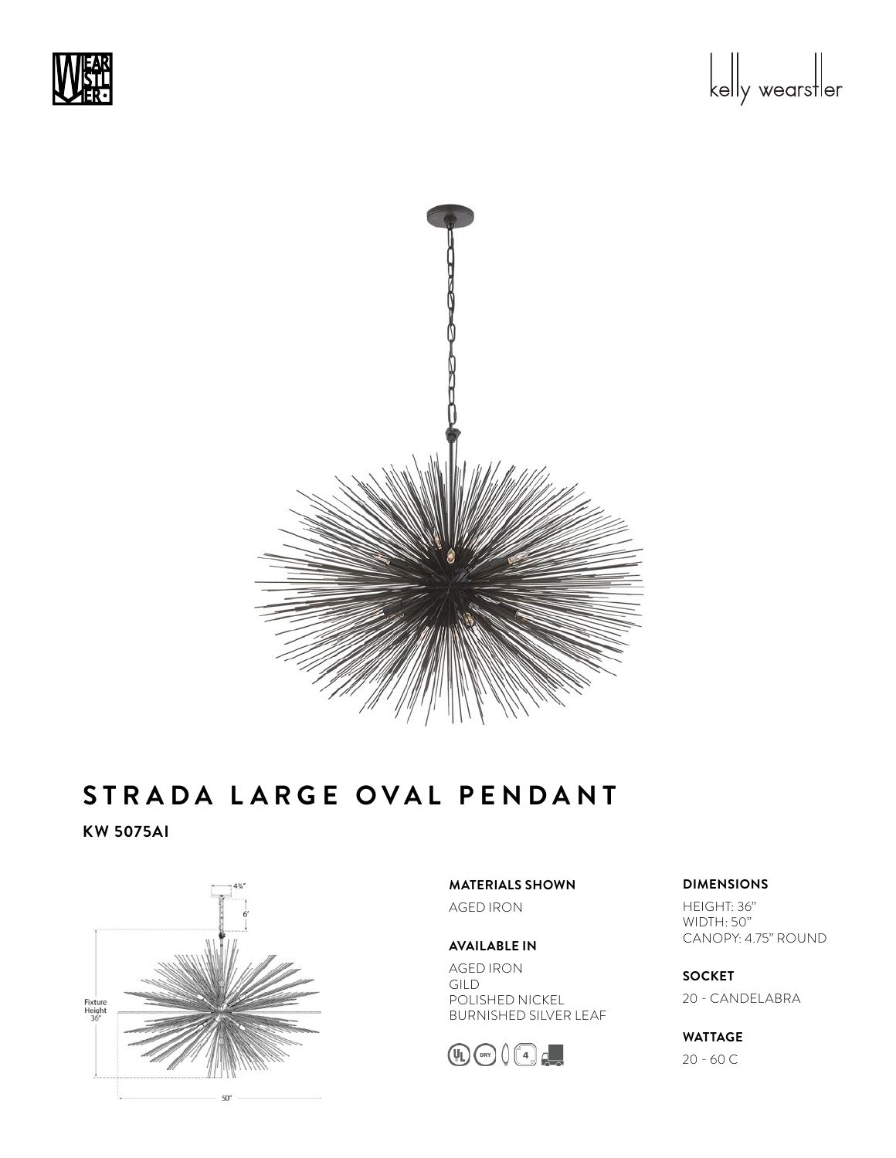





**KW 5075AI**



**MATERIALS SHOWN** AGED IRON

**AVAILABLE IN** AGED IRON GILD POLISHED NICKEL BURNISHED SILVER LEAF



### **DIMENSIONS**

HEIGHT: 36" WIDTH: 50" CANOPY: 4.75" ROUND

**SOCKET**  20 - CANDELABRA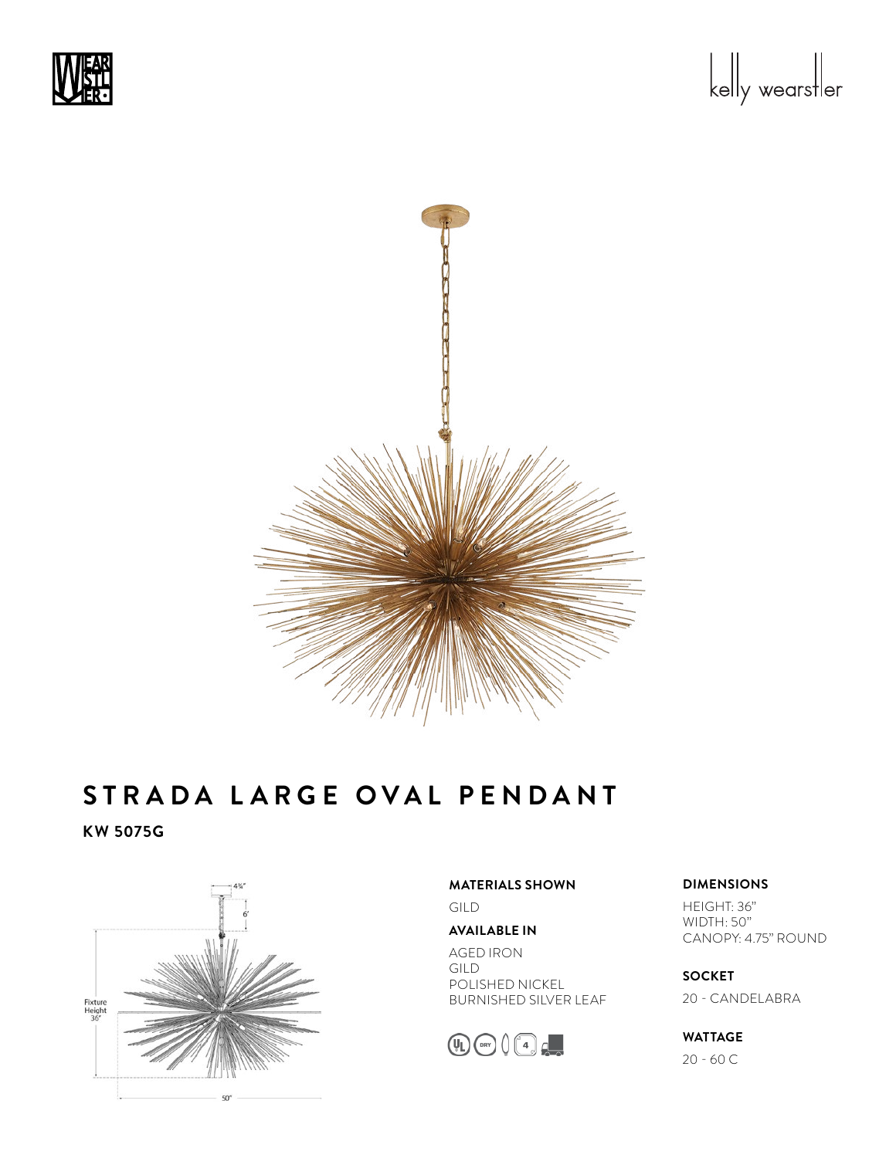





**KW 5075G**



**MATERIALS SHOWN**

GILD

**AVAILABLE IN**

AGED IRON GILD POLISHED NICKEL BURNISHED SILVER LEAF



#### **DIMENSIONS**

HEIGHT: 36" WIDTH: 50" CANOPY: 4.75" ROUND

**SOCKET**  20 - CANDELABRA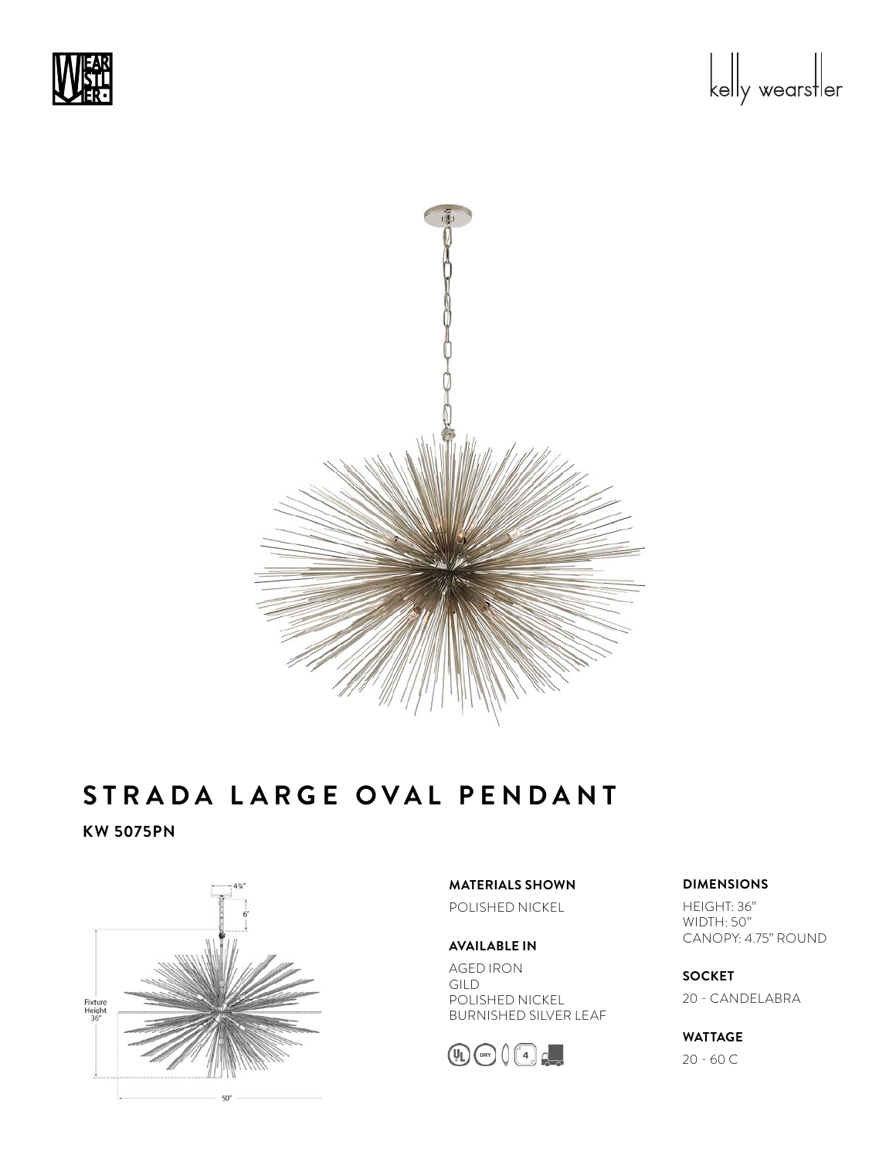





**KW 5075PN**



**MATERIALS SHOWN** POLISHED NICKEL

**AVAILABLE IN** AGED IRON GILD POLISHED NICKEL BURNISHED SILVER LEAF



# **DIMENSIONS**

HEIGHT: 36" WIDTH: 50" CANOPY: 4.75" ROUND

**SOCKET**  20 - CANDELABRA